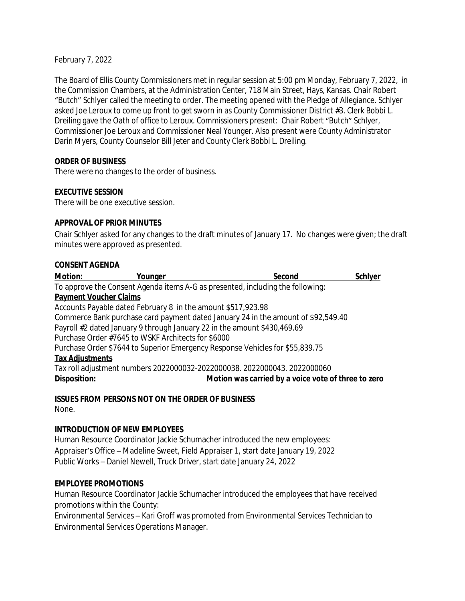February 7, 2022

The Board of Ellis County Commissioners met in regular session at 5:00 pm Monday, February 7, 2022, in the Commission Chambers, at the Administration Center, 718 Main Street, Hays, Kansas. Chair Robert "Butch" Schlyer called the meeting to order. The meeting opened with the Pledge of Allegiance. Schlyer asked Joe Leroux to come up front to get sworn in as County Commissioner District #3. Clerk Bobbi L. Dreiling gave the Oath of office to Leroux. Commissioners present: Chair Robert "Butch" Schlyer, Commissioner Joe Leroux and Commissioner Neal Younger. Also present were County Administrator Darin Myers, County Counselor Bill Jeter and County Clerk Bobbi L. Dreiling.

#### **ORDER OF BUSINESS**

There were no changes to the order of business.

#### **EXECUTIVE SESSION**

There will be one executive session.

#### **APPROVAL OF PRIOR MINUTES**

Chair Schlyer asked for any changes to the draft minutes of January 17. No changes were given; the draft minutes were approved as presented.

#### **CONSENT AGENDA**

| <b>Motion:</b>                                                                 | Younger                                                                  | Second                                                                            | <b>Schlyer</b> |  |  |
|--------------------------------------------------------------------------------|--------------------------------------------------------------------------|-----------------------------------------------------------------------------------|----------------|--|--|
| To approve the Consent Agenda items A-G as presented, including the following: |                                                                          |                                                                                   |                |  |  |
| <b>Payment Voucher Claims</b>                                                  |                                                                          |                                                                                   |                |  |  |
|                                                                                | Accounts Payable dated February 8 in the amount \$517,923.98             |                                                                                   |                |  |  |
|                                                                                |                                                                          | Commerce Bank purchase card payment dated January 24 in the amount of \$92,549.40 |                |  |  |
|                                                                                | Payroll #2 dated January 9 through January 22 in the amount \$430,469.69 |                                                                                   |                |  |  |
|                                                                                | Purchase Order #7645 to WSKF Architects for \$6000                       |                                                                                   |                |  |  |
|                                                                                |                                                                          | Purchase Order \$7644 to Superior Emergency Response Vehicles for \$55,839.75     |                |  |  |
| <b>Tax Adjustments</b>                                                         |                                                                          |                                                                                   |                |  |  |
|                                                                                |                                                                          | Tax roll adjustment numbers 2022000032-2022000038. 2022000043. 2022000060         |                |  |  |
| Disposition:                                                                   |                                                                          | Motion was carried by a voice vote of three to zero                               |                |  |  |

# **ISSUES FROM PERSONS NOT ON THE ORDER OF BUSINESS**

None.

#### **INTRODUCTION OF NEW EMPLOYEES**

Human Resource Coordinator Jackie Schumacher introduced the new employees: Appraiser's Office – Madeline Sweet, Field Appraiser 1, start date January 19, 2022 Public Works – Daniel Newell, Truck Driver, start date January 24, 2022

#### **EMPLOYEE PROMOTIONS**

Human Resource Coordinator Jackie Schumacher introduced the employees that have received promotions within the County:

Environmental Services – Kari Groff was promoted from Environmental Services Technician to Environmental Services Operations Manager.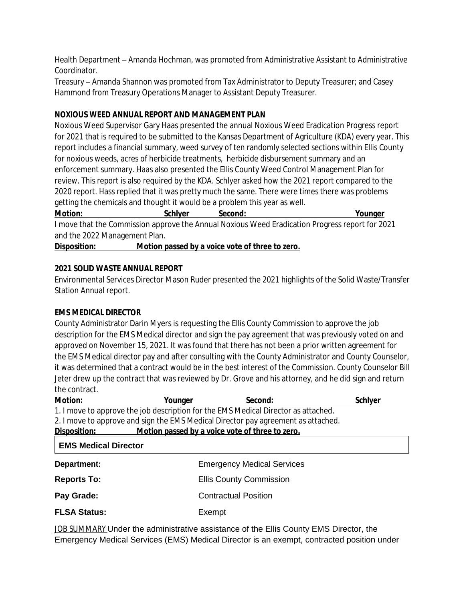Health Department – Amanda Hochman, was promoted from Administrative Assistant to Administrative Coordinator.

Treasury – Amanda Shannon was promoted from Tax Administrator to Deputy Treasurer; and Casey Hammond from Treasury Operations Manager to Assistant Deputy Treasurer.

# **NOXIOUS WEED ANNUAL REPORT AND MANAGEMENT PLAN**

Noxious Weed Supervisor Gary Haas presented the annual Noxious Weed Eradication Progress report for 2021 that is required to be submitted to the Kansas Department of Agriculture (KDA) every year. This report includes a financial summary, weed survey of ten randomly selected sections within Ellis County for noxious weeds, acres of herbicide treatments, herbicide disbursement summary and an enforcement summary. Haas also presented the Ellis County Weed Control Management Plan for review. This report is also required by the KDA. Schlyer asked how the 2021 report compared to the 2020 report. Hass replied that it was pretty much the same. There were times there was problems getting the chemicals and thought it would be a problem this year as well.

| <b>Motion:</b> | <b>Schlyer</b> | Second: |                                                                                                 | <u>Younger</u> |
|----------------|----------------|---------|-------------------------------------------------------------------------------------------------|----------------|
|                |                |         | I move that the Commission approve the Annual Noxious Weed Eradication Progress report for 2021 |                |

and the 2022 Management Plan.

**Disposition: Motion passed by a voice vote of three to zero.**

# **2021 SOLID WASTE ANNUAL REPORT**

Environmental Services Director Mason Ruder presented the 2021 highlights of the Solid Waste/Transfer Station Annual report.

# **EMS MEDICAL DIRECTOR**

County Administrator Darin Myers is requesting the Ellis County Commission to approve the job description for the EMS Medical director and sign the pay agreement that was previously voted on and approved on November 15, 2021. It was found that there has not been a prior written agreement for the EMS Medical director pay and after consulting with the County Administrator and County Counselor, it was determined that a contract would be in the best interest of the Commission. County Counselor Bill Jeter drew up the contract that was reviewed by Dr. Grove and his attorney, and he did sign and return the contract.

| Motion:                                                         | Younger                                                                            | Second:                           | Schlyer |  |
|-----------------------------------------------------------------|------------------------------------------------------------------------------------|-----------------------------------|---------|--|
|                                                                 | 1. I move to approve the job description for the EMS Medical Director as attached. |                                   |         |  |
|                                                                 | 2. I move to approve and sign the EMS Medical Director pay agreement as attached.  |                                   |         |  |
| Motion passed by a voice vote of three to zero.<br>Disposition: |                                                                                    |                                   |         |  |
| <b>EMS Medical Director</b>                                     |                                                                                    |                                   |         |  |
| Department:                                                     |                                                                                    | <b>Emergency Medical Services</b> |         |  |
| <b>Reports To:</b>                                              | <b>Ellis County Commission</b>                                                     |                                   |         |  |
| Pay Grade:                                                      |                                                                                    | <b>Contractual Position</b>       |         |  |
| <b>FLSA Status:</b>                                             | Exempt                                                                             |                                   |         |  |

JOB SUMMARY Under the administrative assistance of the Ellis County EMS Director, the Emergency Medical Services (EMS) Medical Director is an exempt, contracted position under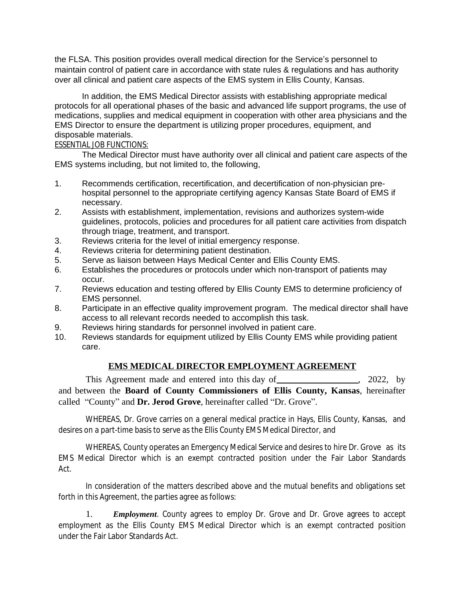the FLSA. This position provides overall medical direction for the Service's personnel to maintain control of patient care in accordance with state rules & regulations and has authority over all clinical and patient care aspects of the EMS system in Ellis County, Kansas.

In addition, the EMS Medical Director assists with establishing appropriate medical protocols for all operational phases of the basic and advanced life support programs, the use of medications, supplies and medical equipment in cooperation with other area physicians and the EMS Director to ensure the department is utilizing proper procedures, equipment, and disposable materials.

#### ESSENTIAL JOB FUNCTIONS:

The Medical Director must have authority over all clinical and patient care aspects of the EMS systems including, but not limited to, the following,

- 1. Recommends certification, recertification, and decertification of non-physician prehospital personnel to the appropriate certifying agency Kansas State Board of EMS if necessary.
- 2. Assists with establishment, implementation, revisions and authorizes system-wide guidelines, protocols, policies and procedures for all patient care activities from dispatch through triage, treatment, and transport.
- 3. Reviews criteria for the level of initial emergency response.
- 4. Reviews criteria for determining patient destination.
- 5. Serve as liaison between Hays Medical Center and Ellis County EMS.
- 6. Establishes the procedures or protocols under which non-transport of patients may occur.
- 7. Reviews education and testing offered by Ellis County EMS to determine proficiency of EMS personnel.
- 8. Participate in an effective quality improvement program. The medical director shall have access to all relevant records needed to accomplish this task.
- 9. Reviews hiring standards for personnel involved in patient care.
- 10. Reviews standards for equipment utilized by Ellis County EMS while providing patient care.

#### **EMS MEDICAL DIRECTOR EMPLOYMENT AGREEMENT**

This Agreement made and entered into this day of \_\_\_\_\_\_\_\_\_\_\_\_\_\_\_\_\_, 2022, by and between the **Board of County Commissioners of Ellis County, Kansas**, hereinafter called "County" and **Dr. Jerod Grove**, hereinafter called "Dr. Grove".

WHEREAS, Dr. Grove carries on a general medical practice in Hays, Ellis County, Kansas, and desires on a part-time basis to serve as the Ellis County EMS Medical Director, and

WHEREAS, County operates an Emergency Medical Service and desires to hire Dr. Grove as its EMS Medical Director which is an exempt contracted position under the Fair Labor Standards Act.

In consideration of the matters described above and the mutual benefits and obligations set forth in this Agreement, the parties agree as follows:

1. *Employment*. County agrees to employ Dr. Grove and Dr. Grove agrees to accept employment as the Ellis County EMS Medical Director which is an exempt contracted position under the Fair Labor Standards Act.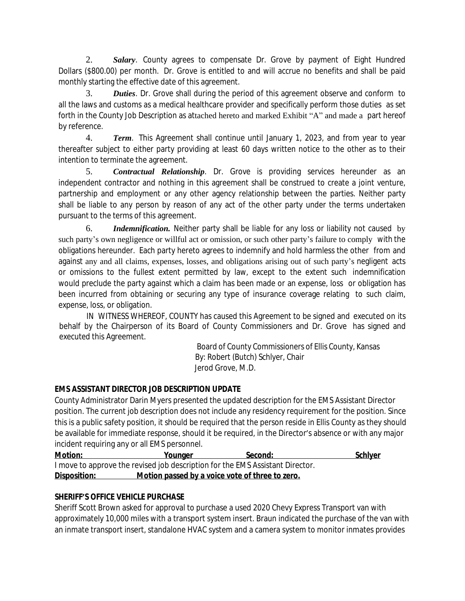2. *Salary*. County agrees to compensate Dr. Grove by payment of Eight Hundred Dollars (\$800.00) per month. Dr. Grove is entitled to and will accrue no benefits and shall be paid monthly starting the effective date of this agreement.

3. *Duties*. Dr. Grove shall during the period of this agreement observe and conform to all the laws and customs as a medical healthcare provider and specifically perform those duties as set forth in the County Job Description as attached hereto and marked Exhibit "A" and made a part hereof by reference.

4. *Term*. This Agreement shall continue until January 1, 2023, and from year to year thereafter subject to either party providing at least 60 days written notice to the other as to their intention to terminate the agreement.

5. *Contractual Relationship*. Dr. Grove is providing services hereunder as an independent contractor and nothing in this agreement shall be construed to create a joint venture, partnership and employment or any other agency relationship between the parties. Neither party shall be liable to any person by reason of any act of the other party under the terms undertaken pursuant to the terms of this agreement.

6. *Indemnification.* Neither party shall be liable for any loss or liability not caused by such party's own negligence or willful act or omission, or such other party's failure to comply with the obligations hereunder. Each party hereto agrees to indemnify and hold harmless the other from and against any and all claims, expenses, losses, and obligations arising out of such party's negligent acts or omissions to the fullest extent permitted by law, except to the extent such indemnification would preclude the party against which a claim has been made or an expense, loss or obligation has been incurred from obtaining or securing any type of insurance coverage relating to such claim, expense, loss, or obligation.

IN WITNESS WHEREOF, COUNTY has caused this Agreement to be signed and executed on its behalf by the Chairperson of its Board of County Commissioners and Dr. Grove has signed and executed this Agreement.

> Board of County Commissioners of Ellis County, Kansas By: Robert (Butch) Schlyer, Chair Jerod Grove, M.D.

# **EMS ASSISTANT DIRECTOR JOB DESCRIPTION UPDATE**

County Administrator Darin Myers presented the updated description for the EMS Assistant Director position. The current job description does not include any residency requirement for the position. Since this is a public safety position, it should be required that the person reside in Ellis County as they should be available for immediate response, should it be required, in the Director's absence or with any major incident requiring any or all EMS personnel.

| <b>Motion:</b> | <u>Younger</u>                                                                | Second: | <u>Schlyer</u> |
|----------------|-------------------------------------------------------------------------------|---------|----------------|
|                | I move to approve the revised job description for the EMS Assistant Director. |         |                |
| Disposition:   | Motion passed by a voice vote of three to zero.                               |         |                |

# **SHERIFF'S OFFICE VEHICLE PURCHASE**

Sheriff Scott Brown asked for approval to purchase a used 2020 Chevy Express Transport van with approximately 10,000 miles with a transport system insert. Braun indicated the purchase of the van with an inmate transport insert, standalone HVAC system and a camera system to monitor inmates provides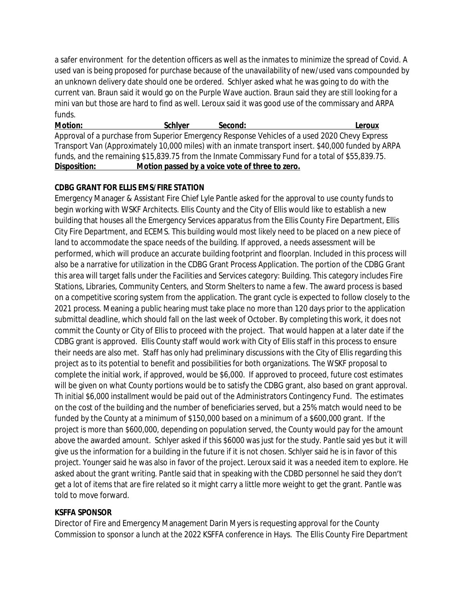a safer environment for the detention officers as well as the inmates to minimize the spread of Covid. A used van is being proposed for purchase because of the unavailability of new/used vans compounded by an unknown delivery date should one be ordered. Schlyer asked what he was going to do with the current van. Braun said it would go on the Purple Wave auction. Braun said they are still looking for a mini van but those are hard to find as well. Leroux said it was good use of the commissary and ARPA funds.

**Motion: Schlyer Second: Leroux** Approval of a purchase from Superior Emergency Response Vehicles of a used 2020 Chevy Express Transport Van (Approximately 10,000 miles) with an inmate transport insert. \$40,000 funded by ARPA funds, and the remaining \$15,839.75 from the Inmate Commissary Fund for a total of \$55,839.75. **Disposition: Motion passed by a voice vote of three to zero.**

# **CDBG GRANT FOR ELLIS EMS/FIRE STATION**

Emergency Manager & Assistant Fire Chief Lyle Pantle asked for the approval to use county funds to begin working with WSKF Architects. Ellis County and the City of Ellis would like to establish a new building that houses all the Emergency Services apparatus from the Ellis County Fire Department, Ellis City Fire Department, and ECEMS. This building would most likely need to be placed on a new piece of land to accommodate the space needs of the building. If approved, a needs assessment will be performed, which will produce an accurate building footprint and floorplan. Included in this process will also be a narrative for utilization in the CDBG Grant Process Application. The portion of the CDBG Grant this area will target falls under the Facilities and Services category: Building. This category includes Fire Stations, Libraries, Community Centers, and Storm Shelters to name a few. The award process is based on a competitive scoring system from the application. The grant cycle is expected to follow closely to the 2021 process. Meaning a public hearing must take place no more than 120 days prior to the application submittal deadline, which should fall on the last week of October. By completing this work, it does not commit the County or City of Ellis to proceed with the project. That would happen at a later date if the CDBG grant is approved. Ellis County staff would work with City of Ellis staff in this process to ensure their needs are also met. Staff has only had preliminary discussions with the City of Ellis regarding this project as to its potential to benefit and possibilities for both organizations. The WSKF proposal to complete the initial work, if approved, would be \$6,000. If approved to proceed, future cost estimates will be given on what County portions would be to satisfy the CDBG grant, also based on grant approval. Th initial \$6,000 installment would be paid out of the Administrators Contingency Fund. The estimates on the cost of the building and the number of beneficiaries served, but a 25% match would need to be funded by the County at a minimum of \$150,000 based on a minimum of a \$600,000 grant. If the project is more than \$600,000, depending on population served, the County would pay for the amount above the awarded amount. Schlyer asked if this \$6000 was just for the study. Pantle said yes but it will give us the information for a building in the future if it is not chosen. Schlyer said he is in favor of this project. Younger said he was also in favor of the project. Leroux said it was a needed item to explore. He asked about the grant writing. Pantle said that in speaking with the CDBD personnel he said they don't get a lot of items that are fire related so it might carry a little more weight to get the grant. Pantle was told to move forward.

# **KSFFA SPONSOR**

Director of Fire and Emergency Management Darin Myers is requesting approval for the County Commission to sponsor a lunch at the 2022 KSFFA conference in Hays. The Ellis County Fire Department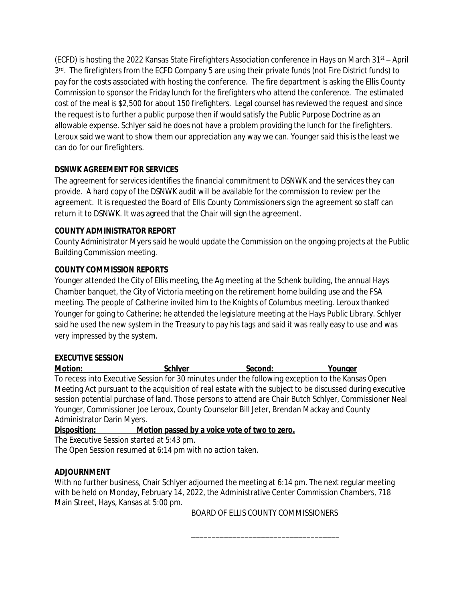(ECFD) is hosting the 2022 Kansas State Firefighters Association conference in Hays on March 31st – April 3<sup>rd</sup>. The firefighters from the ECFD Company 5 are using their private funds (not Fire District funds) to pay for the costs associated with hosting the conference. The fire department is asking the Ellis County Commission to sponsor the Friday lunch for the firefighters who attend the conference. The estimated cost of the meal is \$2,500 for about 150 firefighters. Legal counsel has reviewed the request and since the request is to further a public purpose then if would satisfy the Public Purpose Doctrine as an allowable expense. Schlyer said he does not have a problem providing the lunch for the firefighters. Leroux said we want to show them our appreciation any way we can. Younger said this is the least we can do for our firefighters.

# **DSNWK AGREEMENT FOR SERVICES**

The agreement for services identifies the financial commitment to DSNWK and the services they can provide. A hard copy of the DSNWK audit will be available for the commission to review per the agreement. It is requested the Board of Ellis County Commissioners sign the agreement so staff can return it to DSNWK. It was agreed that the Chair will sign the agreement.

# **COUNTY ADMINISTRATOR REPORT**

County Administrator Myers said he would update the Commission on the ongoing projects at the Public Building Commission meeting.

# **COUNTY COMMISSION REPORTS**

Younger attended the City of Ellis meeting, the Ag meeting at the Schenk building, the annual Hays Chamber banquet, the City of Victoria meeting on the retirement home building use and the FSA meeting. The people of Catherine invited him to the Knights of Columbus meeting. Leroux thanked Younger for going to Catherine; he attended the legislature meeting at the Hays Public Library. Schlyer said he used the new system in the Treasury to pay his tags and said it was really easy to use and was very impressed by the system.

# **EXECUTIVE SESSION**

**Motion: Schlyer Second: Younger** To recess into Executive Session for 30 minutes under the following exception to the Kansas Open Meeting Act pursuant to the acquisition of real estate with the subject to be discussed during executive session potential purchase of land. Those persons to attend are Chair Butch Schlyer, Commissioner Neal Younger, Commissioner Joe Leroux, County Counselor Bill Jeter, Brendan Mackay and County Administrator Darin Myers.

**Disposition: Motion passed by a voice vote of two to zero.**

The Executive Session started at 5:43 pm.

The Open Session resumed at 6:14 pm with no action taken.

# **ADJOURNMENT**

With no further business, Chair Schlyer adjourned the meeting at 6:14 pm. The next regular meeting with be held on Monday, February 14, 2022, the Administrative Center Commission Chambers, 718 Main Street, Hays, Kansas at 5:00 pm.

BOARD OF ELLIS COUNTY COMMISSIONERS

\_\_\_\_\_\_\_\_\_\_\_\_\_\_\_\_\_\_\_\_\_\_\_\_\_\_\_\_\_\_\_\_\_\_\_\_